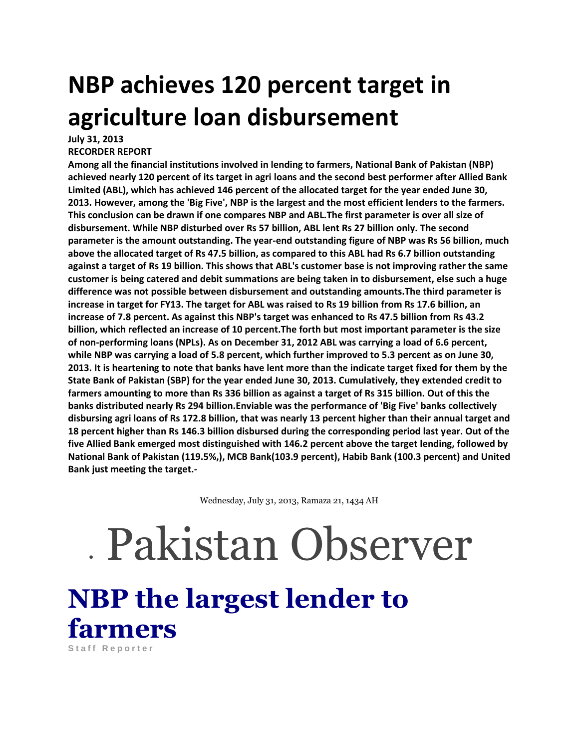## **NBP achieves 120 percent target in agriculture loan disbursement**

**July 31, 2013** 

**RECORDER REPORT** 

**Among all the financial institutions involved in lending to farmers, National Bank of Pakistan (NBP) achieved nearly 120 percent of its target in agri loans and the second best performer after Allied Bank Limited (ABL), which has achieved 146 percent of the allocated target for the year ended June 30, 2013. However, among the 'Big Five', NBP is the largest and the most efficient lenders to the farmers. This conclusion can be drawn if one compares NBP and ABL.The first parameter is over all size of disbursement. While NBP disturbed over Rs 57 billion, ABL lent Rs 27 billion only. The second parameter is the amount outstanding. The year-end outstanding figure of NBP was Rs 56 billion, much above the allocated target of Rs 47.5 billion, as compared to this ABL had Rs 6.7 billion outstanding against a target of Rs 19 billion. This shows that ABL's customer base is not improving rather the same customer is being catered and debit summations are being taken in to disbursement, else such a huge difference was not possible between disbursement and outstanding amounts.The third parameter is increase in target for FY13. The target for ABL was raised to Rs 19 billion from Rs 17.6 billion, an increase of 7.8 percent. As against this NBP's target was enhanced to Rs 47.5 billion from Rs 43.2 billion, which reflected an increase of 10 percent.The forth but most important parameter is the size of non-performing loans (NPLs). As on December 31, 2012 ABL was carrying a load of 6.6 percent, while NBP was carrying a load of 5.8 percent, which further improved to 5.3 percent as on June 30, 2013. It is heartening to note that banks have lent more than the indicate target fixed for them by the State Bank of Pakistan (SBP) for the year ended June 30, 2013. Cumulatively, they extended credit to farmers amounting to more than Rs 336 billion as against a target of Rs 315 billion. Out of this the banks distributed nearly Rs 294 billion.Enviable was the performance of 'Big Five' banks collectively disbursing agri loans of Rs 172.8 billion, that was nearly 13 percent higher than their annual target and 18 percent higher than Rs 146.3 billion disbursed during the corresponding period last year. Out of the five Allied Bank emerged most distinguished with 146.2 percent above the target lending, followed by National Bank of Pakistan (119.5%,), MCB Bank(103.9 percent), Habib Bank (100.3 percent) and United Bank just meeting the target.-**

Wednesday, July 31, 2013, Ramaza 21, 1434 AH

## Pakistan Observer

**NBP the largest lender to farmers** Staff Reporter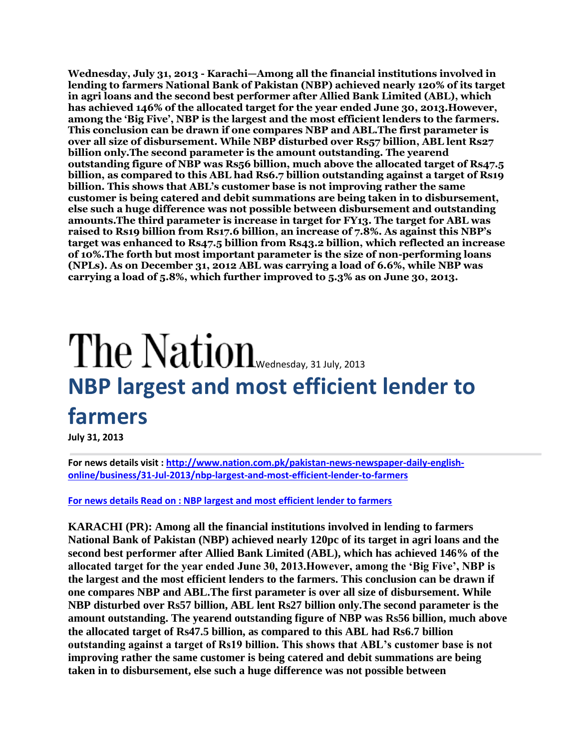**Wednesday, July 31, 2013 - Karachi—Among all the financial institutions involved in lending to farmers National Bank of Pakistan (NBP) achieved nearly 120% of its target in agri loans and the second best performer after Allied Bank Limited (ABL), which has achieved 146% of the allocated target for the year ended June 30, 2013.However, among the 'Big Five', NBP is the largest and the most efficient lenders to the farmers. This conclusion can be drawn if one compares NBP and ABL.The first parameter is over all size of disbursement. While NBP disturbed over Rs57 billion, ABL lent Rs27 billion only.The second parameter is the amount outstanding. The yearend outstanding figure of NBP was Rs56 billion, much above the allocated target of Rs47.5 billion, as compared to this ABL had Rs6.7 billion outstanding against a target of Rs19 billion. This shows that ABL's customer base is not improving rather the same customer is being catered and debit summations are being taken in to disbursement, else such a huge difference was not possible between disbursement and outstanding amounts.The third parameter is increase in target for FY13. The target for ABL was raised to Rs19 billion from Rs17.6 billion, an increase of 7.8%. As against this NBP's target was enhanced to Rs47.5 billion from Rs43.2 billion, which reflected an increase of 10%.The forth but most important parameter is the size of non-performing loans (NPLs). As on December 31, 2012 ABL was carrying a load of 6.6%, while NBP was carrying a load of 5.8%, which further improved to 5.3% as on June 30, 2013.**

## The Nation [W](http://www.nation.com.pk/)ednesday, 31 July, 2013 **NBP largest and most efficient lender to farmers**

**July 31, 2013** 

**For news details visit [: http://www.nation.com.pk/pakistan-news-newspaper-daily-english](http://www.nation.com.pk/pakistan-news-newspaper-daily-english-online/business/31-Jul-2013/nbp-largest-and-most-efficient-lender-to-farmers)[online/business/31-Jul-2013/nbp-largest-and-most-efficient-lender-to-farmers](http://www.nation.com.pk/pakistan-news-newspaper-daily-english-online/business/31-Jul-2013/nbp-largest-and-most-efficient-lender-to-farmers)**

**[For news details Read on : NBP largest and most efficient lender to farmers](http://www.nation.com.pk/pakistan-news-newspaper-daily-english-online/business/31-Jul-2013/nbp-largest-and-most-efficient-lender-to-farmers)**

**KARACHI (PR): Among all the financial institutions involved in lending to farmers National Bank of Pakistan (NBP) achieved nearly 120pc of its target in agri loans and the second best performer after Allied Bank Limited (ABL), which has achieved 146% of the allocated target for the year ended June 30, 2013.However, among the 'Big Five', NBP is the largest and the most efficient lenders to the farmers. This conclusion can be drawn if one compares NBP and ABL.The first parameter is over all size of disbursement. While NBP disturbed over Rs57 billion, ABL lent Rs27 billion only.The second parameter is the amount outstanding. The yearend outstanding figure of NBP was Rs56 billion, much above the allocated target of Rs47.5 billion, as compared to this ABL had Rs6.7 billion outstanding against a target of Rs19 billion. This shows that ABL's customer base is not improving rather the same customer is being catered and debit summations are being taken in to disbursement, else such a huge difference was not possible between**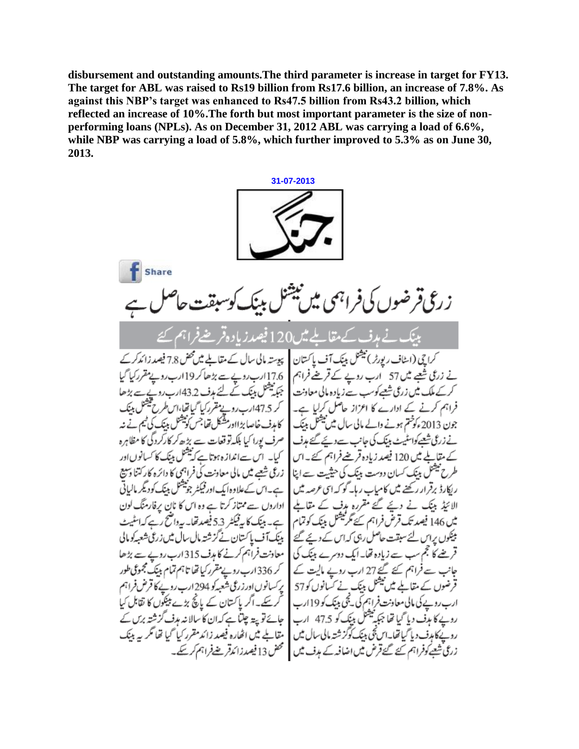**disbursement and outstanding amounts.The third parameter is increase in target for FY13. The target for ABL was raised to Rs19 billion from Rs17.6 billion, an increase of 7.8%. As against this NBP's target was enhanced to Rs47.5 billion from Rs43.2 billion, which reflected an increase of 10%.The forth but most important parameter is the size of nonperforming loans (NPLs). As on December 31, 2012 ABL was carrying a load of 6.6%, while NBP was carrying a load of 5.8%, which further improved to 5.3% as on June 30, 2013.**

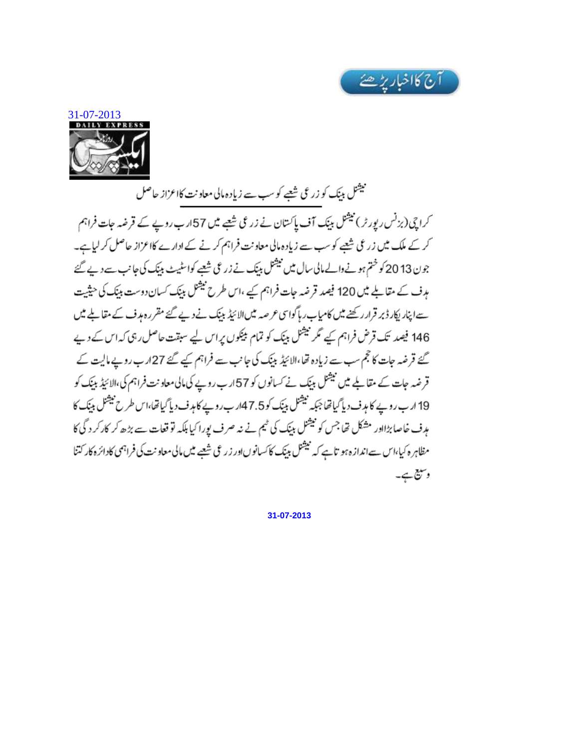



نیشنل ببنک کو زرعی شتیے کوسب سے زیادہ مالی معاونت کااعزاز حاصل کراچی(بزنس رپورٹر) نیٹنل بینک آف پاکستان نے زرعی شعبے میں 57ارب روپے کے قرضہ جات فراہم کر کے ملک میں زرعی شیعے کو سب سے زیادہ مالی معاونت فراہم کر نے کے ادارے کااعزاز حاصل کر لیاہے۔ جون 13 20 کو ختم ہونے والے مالی سال میں نیشنل بینک نے زرعی شعبے کواسٹیٹ بینک کی جانب سے دے گئے ہدف کے مقالے میں 120 فیصد قرضہ جات فراہم کیے ،اس طرح نیشنل بینک کسان دوست بینک کی حیثیت سے اپنار اپکار ڈبر قرار رکھنے میں کامیاب رہا گواسی عرصہ میں الائیڈ بینک نے دیے گئے مقرر ہوف کے مقابلے میں 146 فیصد تک قرض فراہم کیے مگر نیشل بینک کو تمام بیٹکوں پراس لیے سبقت حاصل رہی کہ اس کے دیے گئے قرضہ جات کا حجم سب سے زیادہ تھا،الائیڈ بینک کی جانب سے فراہم کیے گئے 27ارب روپے مالیت کے قرضہ جات کے مقالے میں نیشنل بینک نے کسانوں کو 57ارب روپے کی مالی معاونت فراہم کی،الائیڈ بینک کو 19 ارب روپے کا ہدف دیاً کیاتھا جبکہ نیشنل بینک کو7.5ارب روپے کا ہدف دیاً کیاتھا،اس طرح نیشنل بینک کا مدف خاصا بڑااور مشکل تھا جس کو نیشنل بینک کی ٹیم نے نہ صرف یورا کیا بلکہ تو قعات سے بڑھ کر کارکر د گی کا مظاہر ہ کیا،اس سےاندازہ ہو تاہے کہ نیشنل بینک کاکساتوںاور زرعی شعبے میں مالی معاونت کی فراہمی کادائرہ کار کتنا وستيع ہے۔

**31-07-2013**